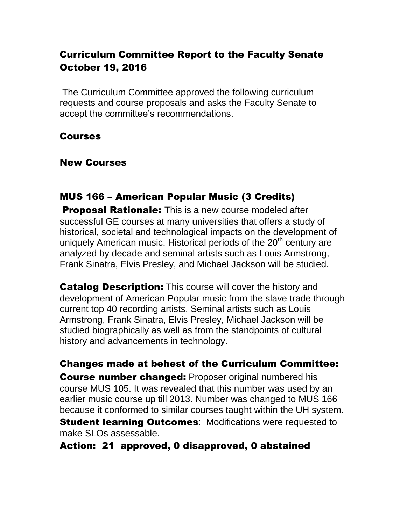## Curriculum Committee Report to the Faculty Senate October 19, 2016

The Curriculum Committee approved the following curriculum requests and course proposals and asks the Faculty Senate to accept the committee's recommendations.

#### Courses

#### New Courses

#### MUS 166 – American Popular Music (3 Credits)

**Proposal Rationale:** This is a new course modeled after successful GE courses at many universities that offers a study of historical, societal and technological impacts on the development of uniquely American music. Historical periods of the  $20<sup>th</sup>$  century are analyzed by decade and seminal artists such as Louis Armstrong, Frank Sinatra, Elvis Presley, and Michael Jackson will be studied.

**Catalog Description:** This course will cover the history and development of American Popular music from the slave trade through current top 40 recording artists. Seminal artists such as Louis Armstrong, Frank Sinatra, Elvis Presley, Michael Jackson will be studied biographically as well as from the standpoints of cultural history and advancements in technology.

Changes made at behest of the Curriculum Committee: **Course number changed:** Proposer original numbered his course MUS 105. It was revealed that this number was used by an earlier music course up till 2013. Number was changed to MUS 166 because it conformed to similar courses taught within the UH system.

**Student learning Outcomes: Modifications were requested to** make SLOs assessable.

Action: 21 approved, 0 disapproved, 0 abstained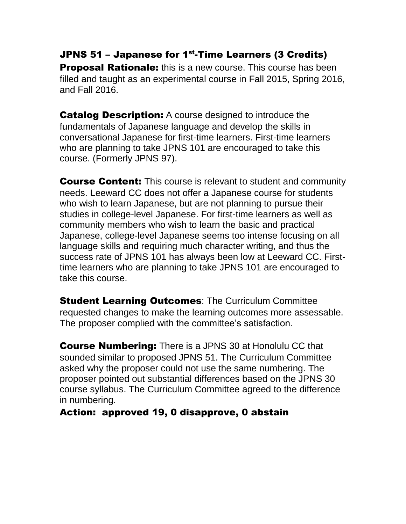## JPNS 51 – Japanese for 1<sup>st</sup>-Time Learners (3 Credits)

**Proposal Rationale:** this is a new course. This course has been filled and taught as an experimental course in Fall 2015, Spring 2016, and Fall 2016.

**Catalog Description:** A course designed to introduce the fundamentals of Japanese language and develop the skills in conversational Japanese for first-time learners. First-time learners who are planning to take JPNS 101 are encouraged to take this course. (Formerly JPNS 97).

**Course Content:** This course is relevant to student and community needs. Leeward CC does not offer a Japanese course for students who wish to learn Japanese, but are not planning to pursue their studies in college-level Japanese. For first-time learners as well as community members who wish to learn the basic and practical Japanese, college-level Japanese seems too intense focusing on all language skills and requiring much character writing, and thus the success rate of JPNS 101 has always been low at Leeward CC. Firsttime learners who are planning to take JPNS 101 are encouraged to take this course.

**Student Learning Outcomes: The Curriculum Committee** requested changes to make the learning outcomes more assessable. The proposer complied with the committee's satisfaction.

Course Numbering: There is a JPNS 30 at Honolulu CC that sounded similar to proposed JPNS 51. The Curriculum Committee asked why the proposer could not use the same numbering. The proposer pointed out substantial differences based on the JPNS 30 course syllabus. The Curriculum Committee agreed to the difference in numbering.

#### Action: approved 19, 0 disapprove, 0 abstain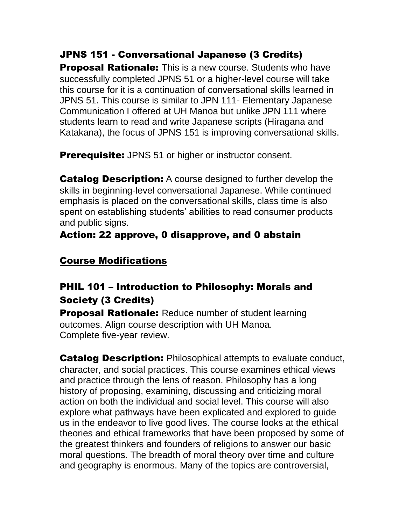## JPNS 151 - Conversational Japanese (3 Credits)

**Proposal Rationale:** This is a new course. Students who have successfully completed JPNS 51 or a higher-level course will take this course for it is a continuation of conversational skills learned in JPNS 51. This course is similar to JPN 111- Elementary Japanese Communication I offered at UH Manoa but unlike JPN 111 where students learn to read and write Japanese scripts (Hiragana and Katakana), the focus of JPNS 151 is improving conversational skills.

**Prerequisite:** JPNS 51 or higher or instructor consent.

**Catalog Description:** A course designed to further develop the skills in beginning-level conversational Japanese. While continued emphasis is placed on the conversational skills, class time is also spent on establishing students' abilities to read consumer products and public signs.

## Action: 22 approve, 0 disapprove, and 0 abstain

## Course Modifications

# PHIL 101 – Introduction to Philosophy: Morals and Society (3 Credits)

**Proposal Rationale:** Reduce number of student learning outcomes. Align course description with UH Manoa. Complete five-year review.

**Catalog Description:** Philosophical attempts to evaluate conduct, character, and social practices. This course examines ethical views and practice through the lens of reason. Philosophy has a long history of proposing, examining, discussing and criticizing moral action on both the individual and social level. This course will also explore what pathways have been explicated and explored to guide us in the endeavor to live good lives. The course looks at the ethical theories and ethical frameworks that have been proposed by some of the greatest thinkers and founders of religions to answer our basic moral questions. The breadth of moral theory over time and culture and geography is enormous. Many of the topics are controversial,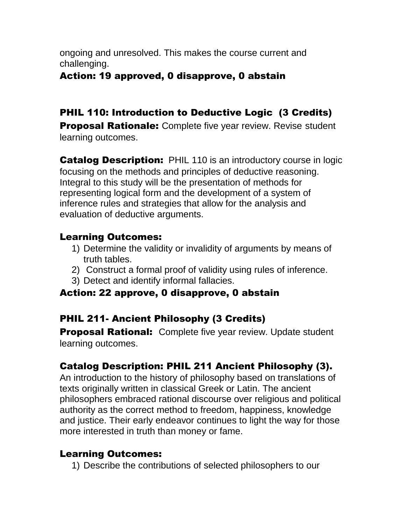ongoing and unresolved. This makes the course current and challenging.

#### Action: 19 approved, 0 disapprove, 0 abstain

# PHIL 110: Introduction to Deductive Logic (3 Credits)

**Proposal Rationale:** Complete five year review. Revise student learning outcomes.

**Catalog Description:** PHIL 110 is an introductory course in logic focusing on the methods and principles of deductive reasoning. Integral to this study will be the presentation of methods for representing logical form and the development of a system of inference rules and strategies that allow for the analysis and evaluation of deductive arguments.

## Learning Outcomes:

- 1) Determine the validity or invalidity of arguments by means of truth tables.
- 2) Construct a formal proof of validity using rules of inference.
- 3) Detect and identify informal fallacies.

## Action: 22 approve, 0 disapprove, 0 abstain

# PHIL 211- Ancient Philosophy (3 Credits)

**Proposal Rational:** Complete five year review. Update student learning outcomes.

# Catalog Description: PHIL 211 Ancient Philosophy (3).

An introduction to the history of philosophy based on translations of texts originally written in classical Greek or Latin. The ancient philosophers embraced rational discourse over religious and political authority as the correct method to freedom, happiness, knowledge and justice. Their early endeavor continues to light the way for those more interested in truth than money or fame.

## Learning Outcomes:

1) Describe the contributions of selected philosophers to our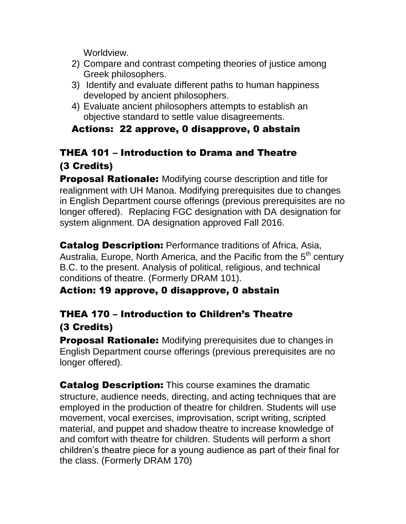Worldview.

- 2) Compare and contrast competing theories of justice among Greek philosophers.
- 3) Identify and evaluate different paths to human happiness developed by ancient philosophers.
- 4) Evaluate ancient philosophers attempts to establish an objective standard to settle value disagreements.

## Actions: 22 approve, 0 disapprove, 0 abstain

# THEA 101 – Introduction to Drama and Theatre (3 Credits)

**Proposal Rationale:** Modifying course description and title for realignment with UH Manoa. Modifying prerequisites due to changes in English Department course offerings (previous prerequisites are no longer offered). Replacing FGC designation with DA designation for system alignment. DA designation approved Fall 2016.

Catalog Description: Performance traditions of Africa, Asia, Australia, Europe, North America, and the Pacific from the  $5<sup>th</sup>$  century B.C. to the present. Analysis of political, religious, and technical conditions of theatre. (Formerly DRAM 101).

## Action: 19 approve, 0 disapprove, 0 abstain

# THEA 170 – Introduction to Children's Theatre (3 Credits)

**Proposal Rationale:** Modifying prerequisites due to changes in English Department course offerings (previous prerequisites are no longer offered).

**Catalog Description:** This course examines the dramatic structure, audience needs, directing, and acting techniques that are employed in the production of theatre for children. Students will use movement, vocal exercises, improvisation, script writing, scripted material, and puppet and shadow theatre to increase knowledge of and comfort with theatre for children. Students will perform a short children's theatre piece for a young audience as part of their final for the class. (Formerly DRAM 170)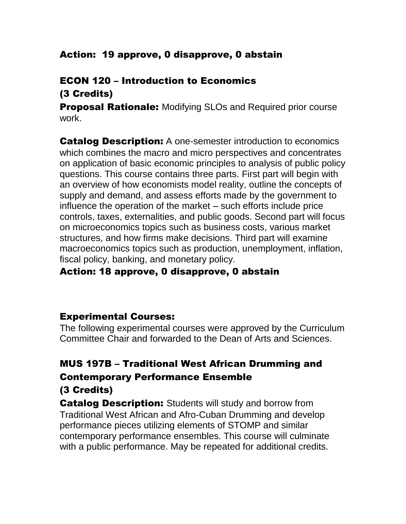## Action: 19 approve, 0 disapprove, 0 abstain

#### ECON 120 – Introduction to Economics (3 Credits)

**Proposal Rationale:** Modifying SLOs and Required prior course work.

**Catalog Description:** A one-semester introduction to economics which combines the macro and micro perspectives and concentrates on application of basic economic principles to analysis of public policy questions. This course contains three parts. First part will begin with an overview of how economists model reality, outline the concepts of supply and demand, and assess efforts made by the government to influence the operation of the market – such efforts include price controls, taxes, externalities, and public goods. Second part will focus on microeconomics topics such as business costs, various market structures, and how firms make decisions. Third part will examine macroeconomics topics such as production, unemployment, inflation, fiscal policy, banking, and monetary policy.

#### Action: 18 approve, 0 disapprove, 0 abstain

#### Experimental Courses:

The following experimental courses were approved by the Curriculum Committee Chair and forwarded to the Dean of Arts and Sciences.

## MUS 197B – Traditional West African Drumming and Contemporary Performance Ensemble

#### (3 Credits)

**Catalog Description:** Students will study and borrow from Traditional West African and Afro-Cuban Drumming and develop performance pieces utilizing elements of STOMP and similar contemporary performance ensembles. This course will culminate with a public performance. May be repeated for additional credits.